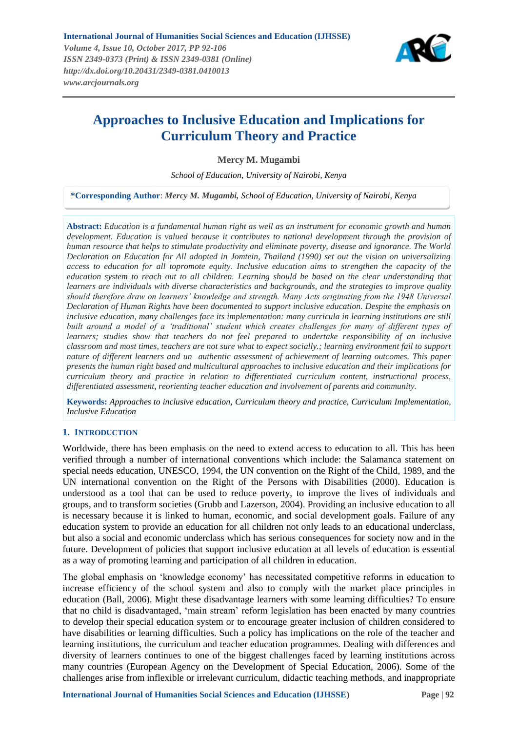

# **Approaches to Inclusive Education and Implications for Curriculum Theory and Practice**

**Mercy M. Mugambi**

*School of Education, University of Nairobi, Kenya*

**\*Corresponding Author**: *Mercy M. Mugambi, School of Education, University of Nairobi, Kenya*

**Abstract:** *Education is a fundamental human right as well as an instrument for economic growth and human development. Education is valued because it contributes to national development through the provision of human resource that helps to stimulate productivity and eliminate poverty, disease and ignorance. The World Declaration on Education for All adopted in Jomtein, Thailand (1990) set out the vision on universalizing access to education for all topromote equity. Inclusive education aims to strengthen the capacity of the education system to reach out to all children. Learning should be based on the clear understanding that learners are individuals with diverse characteristics and backgrounds, and the strategies to improve quality should therefore draw on learners' knowledge and strength. Many Acts originating from the 1948 Universal Declaration of Human Rights have been documented to support inclusive education. Despite the emphasis on inclusive education, many challenges face its implementation: many curricula in learning institutions are still built around a model of a 'traditional' student which creates challenges for many of different types of learners; studies show that teachers do not feel prepared to undertake responsibility of an inclusive classroom and most times, teachers are not sure what to expect socially.; learning environment fail to support nature of different learners and un authentic assessment of achievement of learning outcomes. This paper presents the human right based and multicultural approaches to inclusive education and their implications for curriculum theory and practice in relation to differentiated curriculum content, instructional process, differentiated assessment, reorienting teacher education and involvement of parents and community.*

**Keywords:** *Approaches to inclusive education, Curriculum theory and practice, Curriculum Implementation, Inclusive Education*

# **1. INTRODUCTION**

Worldwide, there has been emphasis on the need to extend access to education to all. This has been verified through a number of international conventions which include: the Salamanca statement on special needs education, UNESCO, 1994, the UN convention on the Right of the Child, 1989, and the UN international convention on the Right of the Persons with Disabilities (2000). Education is understood as a tool that can be used to reduce poverty, to improve the lives of individuals and groups, and to transform societies (Grubb and Lazerson, 2004). Providing an inclusive education to all is necessary because it is linked to human, economic, and social development goals. Failure of any education system to provide an education for all children not only leads to an educational underclass, but also a social and economic underclass which has serious consequences for society now and in the future. Development of policies that support inclusive education at all levels of education is essential as a way of promoting learning and participation of all children in education.

The global emphasis on "knowledge economy" has necessitated competitive reforms in education to increase efficiency of the school system and also to comply with the market place principles in education (Ball, 2006). Might these disadvantage learners with some learning difficulties? To ensure that no child is disadvantaged, "main stream" reform legislation has been enacted by many countries to develop their special education system or to encourage greater inclusion of children considered to have disabilities or learning difficulties. Such a policy has implications on the role of the teacher and learning institutions, the curriculum and teacher education programmes. Dealing with differences and diversity of learners continues to one of the biggest challenges faced by learning institutions across many countries (European Agency on the Development of Special Education, 2006). Some of the challenges arise from inflexible or irrelevant curriculum, didactic teaching methods, and inappropriate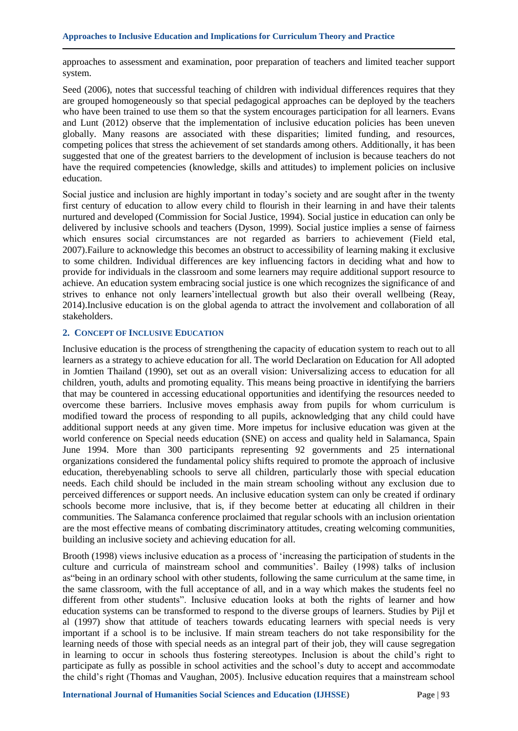approaches to assessment and examination, poor preparation of teachers and limited teacher support system.

Seed (2006), notes that successful teaching of children with individual differences requires that they are grouped homogeneously so that special pedagogical approaches can be deployed by the teachers who have been trained to use them so that the system encourages participation for all learners. Evans and Lunt (2012) observe that the implementation of inclusive education policies has been uneven globally. Many reasons are associated with these disparities; limited funding, and resources, competing polices that stress the achievement of set standards among others. Additionally, it has been suggested that one of the greatest barriers to the development of inclusion is because teachers do not have the required competencies (knowledge, skills and attitudes) to implement policies on inclusive education.

Social justice and inclusion are highly important in today"s society and are sought after in the twenty first century of education to allow every child to flourish in their learning in and have their talents nurtured and developed (Commission for Social Justice, 1994). Social justice in education can only be delivered by inclusive schools and teachers (Dyson, 1999). Social justice implies a sense of fairness which ensures social circumstances are not regarded as barriers to achievement (Field etal, 2007).Failure to acknowledge this becomes an obstruct to accessibility of learning making it exclusive to some children. Individual differences are key influencing factors in deciding what and how to provide for individuals in the classroom and some learners may require additional support resource to achieve. An education system embracing social justice is one which recognizes the significance of and strives to enhance not only learners"intellectual growth but also their overall wellbeing (Reay, 2014).Inclusive education is on the global agenda to attract the involvement and collaboration of all stakeholders.

## **2. CONCEPT OF INCLUSIVE EDUCATION**

Inclusive education is the process of strengthening the capacity of education system to reach out to all learners as a strategy to achieve education for all. The world Declaration on Education for All adopted in Jomtien Thailand (1990), set out as an overall vision: Universalizing access to education for all children, youth, adults and promoting equality. This means being proactive in identifying the barriers that may be countered in accessing educational opportunities and identifying the resources needed to overcome these barriers. Inclusive moves emphasis away from pupils for whom curriculum is modified toward the process of responding to all pupils, acknowledging that any child could have additional support needs at any given time. More impetus for inclusive education was given at the world conference on Special needs education (SNE) on access and quality held in Salamanca, Spain June 1994. More than 300 participants representing 92 governments and 25 international organizations considered the fundamental policy shifts required to promote the approach of inclusive education, therebyenabling schools to serve all children, particularly those with special education needs. Each child should be included in the main stream schooling without any exclusion due to perceived differences or support needs. An inclusive education system can only be created if ordinary schools become more inclusive, that is, if they become better at educating all children in their communities. The Salamanca conference proclaimed that regular schools with an inclusion orientation are the most effective means of combating discriminatory attitudes, creating welcoming communities, building an inclusive society and achieving education for all.

Brooth (1998) views inclusive education as a process of "increasing the participation of students in the culture and curricula of mainstream school and communities". Bailey (1998) talks of inclusion as"being in an ordinary school with other students, following the same curriculum at the same time, in the same classroom, with the full acceptance of all, and in a way which makes the students feel no different from other students". Inclusive education looks at both the rights of learner and how education systems can be transformed to respond to the diverse groups of learners. Studies by Pijl et al (1997) show that attitude of teachers towards educating learners with special needs is very important if a school is to be inclusive. If main stream teachers do not take responsibility for the learning needs of those with special needs as an integral part of their job, they will cause segregation in learning to occur in schools thus fostering stereotypes. Inclusion is about the child"s right to participate as fully as possible in school activities and the school"s duty to accept and accommodate the child"s right (Thomas and Vaughan, 2005). Inclusive education requires that a mainstream school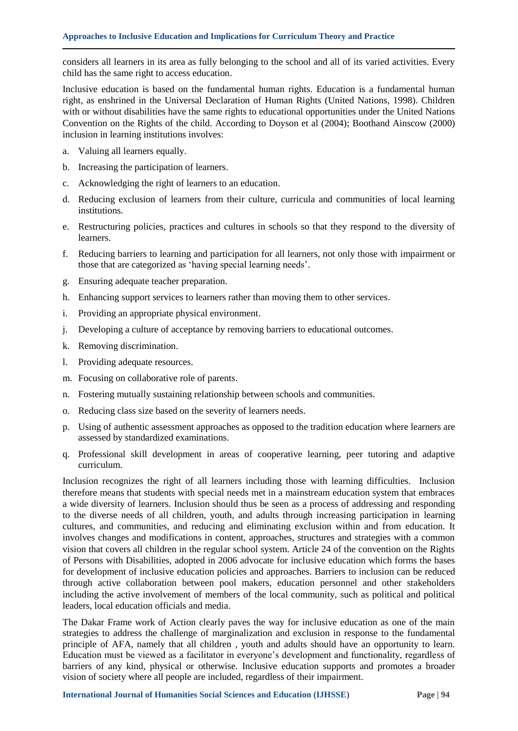considers all learners in its area as fully belonging to the school and all of its varied activities. Every child has the same right to access education.

Inclusive education is based on the fundamental human rights. Education is a fundamental human right, as enshrined in the Universal Declaration of Human Rights (United Nations, 1998). Children with or without disabilities have the same rights to educational opportunities under the United Nations Convention on the Rights of the child. According to Doyson et al (2004); Boothand Ainscow (2000) inclusion in learning institutions involves:

- a. Valuing all learners equally.
- b. Increasing the participation of learners.
- c. Acknowledging the right of learners to an education.
- d. Reducing exclusion of learners from their culture, curricula and communities of local learning institutions.
- e. Restructuring policies, practices and cultures in schools so that they respond to the diversity of learners.
- f. Reducing barriers to learning and participation for all learners, not only those with impairment or those that are categorized as "having special learning needs".
- g. Ensuring adequate teacher preparation.
- h. Enhancing support services to learners rather than moving them to other services.
- i. Providing an appropriate physical environment.
- j. Developing a culture of acceptance by removing barriers to educational outcomes.
- k. Removing discrimination.
- l. Providing adequate resources.
- m. Focusing on collaborative role of parents.
- n. Fostering mutually sustaining relationship between schools and communities.
- o. Reducing class size based on the severity of learners needs.
- p. Using of authentic assessment approaches as opposed to the tradition education where learners are assessed by standardized examinations.
- q. Professional skill development in areas of cooperative learning, peer tutoring and adaptive curriculum.

Inclusion recognizes the right of all learners including those with learning difficulties. Inclusion therefore means that students with special needs met in a mainstream education system that embraces a wide diversity of learners. Inclusion should thus be seen as a process of addressing and responding to the diverse needs of all children, youth, and adults through increasing participation in learning cultures, and communities, and reducing and eliminating exclusion within and from education. It involves changes and modifications in content, approaches, structures and strategies with a common vision that covers all children in the regular school system. Article 24 of the convention on the Rights of Persons with Disabilities, adopted in 2006 advocate for inclusive education which forms the bases for development of inclusive education policies and approaches. Barriers to inclusion can be reduced through active collaboration between pool makers, education personnel and other stakeholders including the active involvement of members of the local community, such as political and political leaders, local education officials and media.

The Dakar Frame work of Action clearly paves the way for inclusive education as one of the main strategies to address the challenge of marginalization and exclusion in response to the fundamental principle of AFA, namely that all children , youth and adults should have an opportunity to learn. Education must be viewed as a facilitator in everyone"s development and functionality, regardless of barriers of any kind, physical or otherwise. Inclusive education supports and promotes a broader vision of society where all people are included, regardless of their impairment.

**International Journal of Humanities Social Sciences and Education (IJHSSE) Page | 94**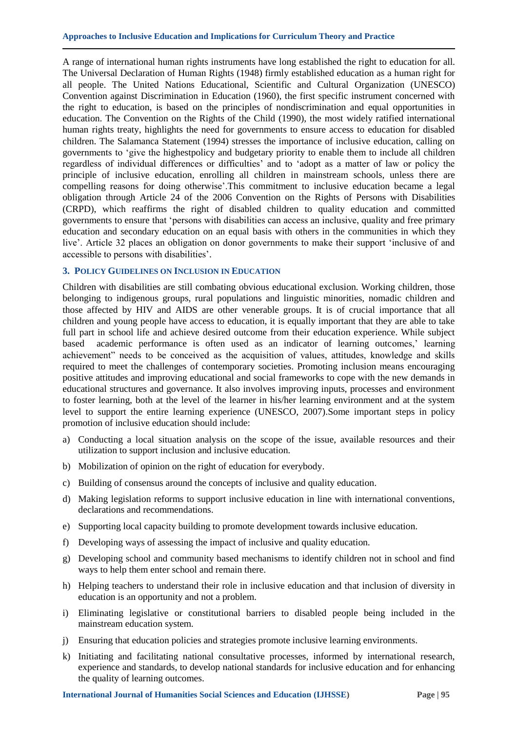A range of international human rights instruments have long established the right to education for all. The Universal Declaration of Human Rights (1948) firmly established education as a human right for all people. The United Nations Educational, Scientific and Cultural Organization (UNESCO) Convention against Discrimination in Education (1960), the first specific instrument concerned with the right to education, is based on the principles of nondiscrimination and equal opportunities in education. The Convention on the Rights of the Child (1990), the most widely ratified international human rights treaty, highlights the need for governments to ensure access to education for disabled children. The Salamanca Statement (1994) stresses the importance of inclusive education, calling on governments to "give the highestpolicy and budgetary priority to enable them to include all children regardless of individual differences or difficulties" and to "adopt as a matter of law or policy the principle of inclusive education, enrolling all children in mainstream schools, unless there are compelling reasons for doing otherwise".This commitment to inclusive education became a legal obligation through Article 24 of the 2006 Convention on the Rights of Persons with Disabilities (CRPD), which reaffirms the right of disabled children to quality education and committed governments to ensure that "persons with disabilities can access an inclusive, quality and free primary education and secondary education on an equal basis with others in the communities in which they live'. Article 32 places an obligation on donor governments to make their support 'inclusive of and accessible to persons with disabilities".

#### **3. POLICY GUIDELINES ON INCLUSION IN EDUCATION**

Children with disabilities are still combating obvious educational exclusion. Working children, those belonging to indigenous groups, rural populations and linguistic minorities, nomadic children and those affected by HIV and AIDS are other venerable groups. It is of crucial importance that all children and young people have access to education, it is equally important that they are able to take full part in school life and achieve desired outcome from their education experience. While subject based academic performance is often used as an indicator of learning outcomes," learning achievement" needs to be conceived as the acquisition of values, attitudes, knowledge and skills required to meet the challenges of contemporary societies. Promoting inclusion means encouraging positive attitudes and improving educational and social frameworks to cope with the new demands in educational structures and governance. It also involves improving inputs, processes and environment to foster learning, both at the level of the learner in his/her learning environment and at the system level to support the entire learning experience (UNESCO, 2007).Some important steps in policy promotion of inclusive education should include:

- a) Conducting a local situation analysis on the scope of the issue, available resources and their utilization to support inclusion and inclusive education.
- b) Mobilization of opinion on the right of education for everybody.
- c) Building of consensus around the concepts of inclusive and quality education.
- d) Making legislation reforms to support inclusive education in line with international conventions, declarations and recommendations.
- e) Supporting local capacity building to promote development towards inclusive education.
- f) Developing ways of assessing the impact of inclusive and quality education.
- g) Developing school and community based mechanisms to identify children not in school and find ways to help them enter school and remain there.
- h) Helping teachers to understand their role in inclusive education and that inclusion of diversity in education is an opportunity and not a problem.
- i) Eliminating legislative or constitutional barriers to disabled people being included in the mainstream education system.
- j) Ensuring that education policies and strategies promote inclusive learning environments.
- k) Initiating and facilitating national consultative processes, informed by international research, experience and standards, to develop national standards for inclusive education and for enhancing the quality of learning outcomes.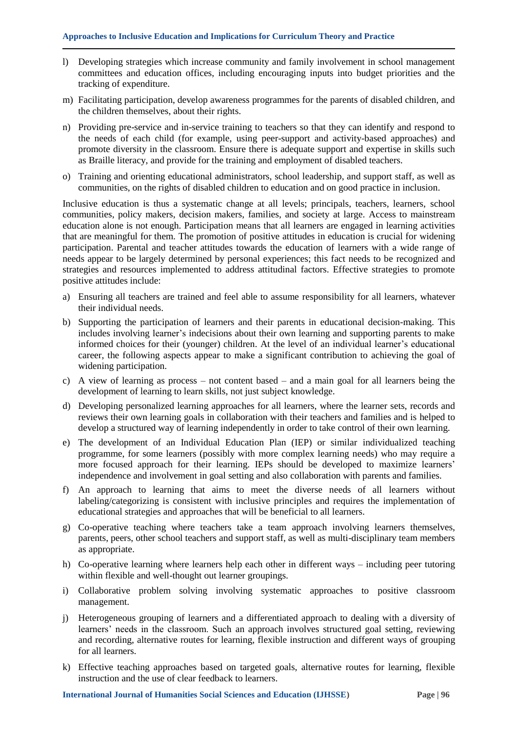- l) Developing strategies which increase community and family involvement in school management committees and education offices, including encouraging inputs into budget priorities and the tracking of expenditure.
- m) Facilitating participation, develop awareness programmes for the parents of disabled children, and the children themselves, about their rights.
- n) Providing pre-service and in-service training to teachers so that they can identify and respond to the needs of each child (for example, using peer-support and activity-based approaches) and promote diversity in the classroom. Ensure there is adequate support and expertise in skills such as Braille literacy, and provide for the training and employment of disabled teachers.
- o) Training and orienting educational administrators, school leadership, and support staff, as well as communities, on the rights of disabled children to education and on good practice in inclusion.

Inclusive education is thus a systematic change at all levels; principals, teachers, learners, school communities, policy makers, decision makers, families, and society at large. Access to mainstream education alone is not enough. Participation means that all learners are engaged in learning activities that are meaningful for them. The promotion of positive attitudes in education is crucial for widening participation. Parental and teacher attitudes towards the education of learners with a wide range of needs appear to be largely determined by personal experiences; this fact needs to be recognized and strategies and resources implemented to address attitudinal factors. Effective strategies to promote positive attitudes include:

- a) Ensuring all teachers are trained and feel able to assume responsibility for all learners, whatever their individual needs.
- b) Supporting the participation of learners and their parents in educational decision-making. This includes involving learner"s indecisions about their own learning and supporting parents to make informed choices for their (younger) children. At the level of an individual learner's educational career, the following aspects appear to make a significant contribution to achieving the goal of widening participation.
- c) A view of learning as process not content based and a main goal for all learners being the development of learning to learn skills, not just subject knowledge.
- d) Developing personalized learning approaches for all learners, where the learner sets, records and reviews their own learning goals in collaboration with their teachers and families and is helped to develop a structured way of learning independently in order to take control of their own learning.
- e) The development of an Individual Education Plan (IEP) or similar individualized teaching programme, for some learners (possibly with more complex learning needs) who may require a more focused approach for their learning. IEPs should be developed to maximize learners' independence and involvement in goal setting and also collaboration with parents and families.
- f) An approach to learning that aims to meet the diverse needs of all learners without labeling/categorizing is consistent with inclusive principles and requires the implementation of educational strategies and approaches that will be beneficial to all learners.
- g) Co-operative teaching where teachers take a team approach involving learners themselves, parents, peers, other school teachers and support staff, as well as multi-disciplinary team members as appropriate.
- h) Co-operative learning where learners help each other in different ways including peer tutoring within flexible and well-thought out learner groupings.
- i) Collaborative problem solving involving systematic approaches to positive classroom management.
- j) Heterogeneous grouping of learners and a differentiated approach to dealing with a diversity of learners' needs in the classroom. Such an approach involves structured goal setting, reviewing and recording, alternative routes for learning, flexible instruction and different ways of grouping for all learners.
- k) Effective teaching approaches based on targeted goals, alternative routes for learning, flexible instruction and the use of clear feedback to learners.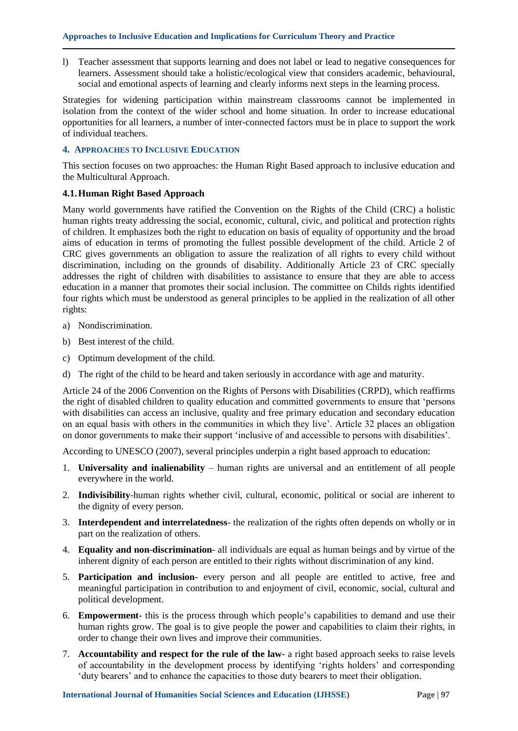l) Teacher assessment that supports learning and does not label or lead to negative consequences for learners. Assessment should take a holistic/ecological view that considers academic, behavioural, social and emotional aspects of learning and clearly informs next steps in the learning process.

Strategies for widening participation within mainstream classrooms cannot be implemented in isolation from the context of the wider school and home situation. In order to increase educational opportunities for all learners, a number of inter-connected factors must be in place to support the work of individual teachers.

# **4. APPROACHES TO INCLUSIVE EDUCATION**

This section focuses on two approaches: the Human Right Based approach to inclusive education and the Multicultural Approach.

## **4.1.Human Right Based Approach**

Many world governments have ratified the Convention on the Rights of the Child (CRC) a holistic human rights treaty addressing the social, economic, cultural, civic, and political and protection rights of children. It emphasizes both the right to education on basis of equality of opportunity and the broad aims of education in terms of promoting the fullest possible development of the child. Article 2 of CRC gives governments an obligation to assure the realization of all rights to every child without discrimination, including on the grounds of disability. Additionally Article 23 of CRC specially addresses the right of children with disabilities to assistance to ensure that they are able to access education in a manner that promotes their social inclusion. The committee on Childs rights identified four rights which must be understood as general principles to be applied in the realization of all other rights:

- a) Nondiscrimination.
- b) Best interest of the child.
- c) Optimum development of the child.
- d) The right of the child to be heard and taken seriously in accordance with age and maturity.

Article 24 of the 2006 Convention on the Rights of Persons with Disabilities (CRPD), which reaffirms the right of disabled children to quality education and committed governments to ensure that "persons with disabilities can access an inclusive, quality and free primary education and secondary education on an equal basis with others in the communities in which they live". Article 32 places an obligation on donor governments to make their support "inclusive of and accessible to persons with disabilities".

According to UNESCO (2007), several principles underpin a right based approach to education:

- 1. **Universality and inalienability** human rights are universal and an entitlement of all people everywhere in the world.
- 2. **Indivisibility**-human rights whether civil, cultural, economic, political or social are inherent to the dignity of every person.
- 3. **Interdependent and interrelatedness** the realization of the rights often depends on wholly or in part on the realization of others.
- 4. **Equality and non**-**discrimination** all individuals are equal as human beings and by virtue of the inherent dignity of each person are entitled to their rights without discrimination of any kind.
- 5. **Participation and inclusion-** every person and all people are entitled to active, free and meaningful participation in contribution to and enjoyment of civil, economic, social, cultural and political development.
- 6. **Empowerment-** this is the process through which people"s capabilities to demand and use their human rights grow. The goal is to give people the power and capabilities to claim their rights, in order to change their own lives and improve their communities.
- 7. **Accountability and respect for the rule of the law-** a right based approach seeks to raise levels of accountability in the development process by identifying "rights holders" and corresponding 'duty bearers' and to enhance the capacities to those duty bearers to meet their obligation.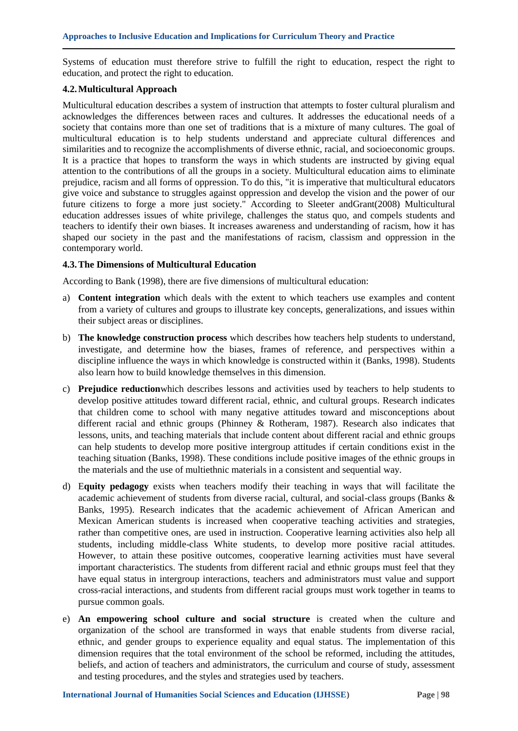Systems of education must therefore strive to fulfill the right to education, respect the right to education, and protect the right to education.

#### **4.2.Multicultural Approach**

Multicultural education describes a system of instruction that attempts to foster cultural pluralism and acknowledges the differences between races and cultures. It addresses the educational needs of a society that contains more than one set of traditions that is a mixture of many cultures. The goal of multicultural education is to help students understand and appreciate cultural differences and similarities and to recognize the accomplishments of diverse ethnic, racial, and socioeconomic groups. It is a practice that hopes to transform the ways in which students are instructed by giving equal attention to the contributions of all the groups in a society. Multicultural education aims to eliminate prejudice, racism and all forms of oppression. To do this, "it is imperative that multicultural educators give voice and substance to struggles against oppression and develop the vision and the power of our future citizens to forge a more just society." According to Sleeter andGrant(2008) Multicultural education addresses issues of white privilege, challenges the status quo, and compels students and teachers to identify their own biases. It increases awareness and understanding of racism, how it has shaped our society in the past and the manifestations of racism, classism and oppression in the contemporary world.

#### **4.3.The Dimensions of Multicultural Education**

According to Bank (1998), there are five dimensions of multicultural education:

- a) **Content integration** which deals with the extent to which teachers use examples and content from a variety of cultures and groups to illustrate key concepts, generalizations, and issues within their subject areas or disciplines.
- b) **The knowledge construction process** which describes how teachers help students to understand, investigate, and determine how the biases, frames of reference, and perspectives within a discipline influence the ways in which knowledge is constructed within it (Banks, 1998). Students also learn how to build knowledge themselves in this dimension.
- c) **Prejudice reduction**which describes lessons and activities used by teachers to help students to develop positive attitudes toward different racial, ethnic, and cultural groups. Research indicates that children come to school with many negative attitudes toward and misconceptions about different racial and ethnic groups (Phinney & Rotheram, 1987). Research also indicates that lessons, units, and teaching materials that include content about different racial and ethnic groups can help students to develop more positive intergroup attitudes if certain conditions exist in the teaching situation (Banks, 1998). These conditions include positive images of the ethnic groups in the materials and the use of multiethnic materials in a consistent and sequential way.
- d) E**quity pedagogy** exists when teachers modify their teaching in ways that will facilitate the academic achievement of students from diverse racial, cultural, and social-class groups (Banks & Banks, 1995). Research indicates that the academic achievement of African American and Mexican American students is increased when cooperative teaching activities and strategies, rather than competitive ones, are used in instruction. Cooperative learning activities also help all students, including middle-class White students, to develop more positive racial attitudes. However, to attain these positive outcomes, cooperative learning activities must have several important characteristics. The students from different racial and ethnic groups must feel that they have equal status in intergroup interactions, teachers and administrators must value and support cross-racial interactions, and students from different racial groups must work together in teams to pursue common goals.
- e) **An empowering school culture and social structure** is created when the culture and organization of the school are transformed in ways that enable students from diverse racial, ethnic, and gender groups to experience equality and equal status. The implementation of this dimension requires that the total environment of the school be reformed, including the attitudes, beliefs, and action of teachers and administrators, the curriculum and course of study, assessment and testing procedures, and the styles and strategies used by teachers.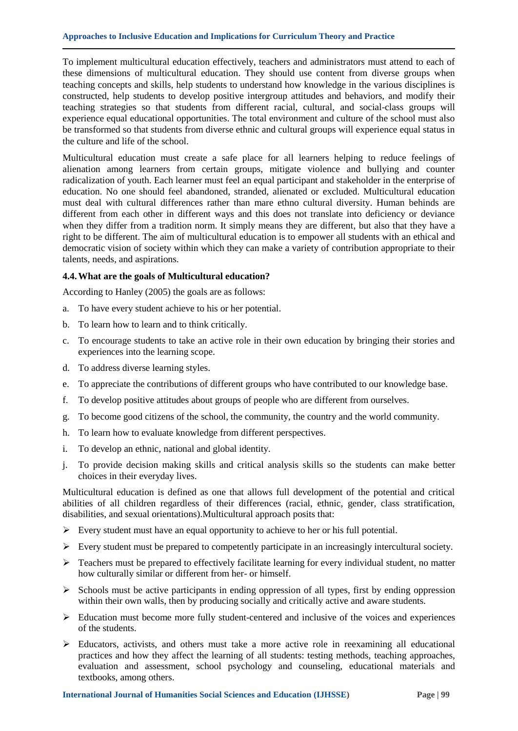To implement multicultural education effectively, teachers and administrators must attend to each of these dimensions of multicultural education. They should use content from diverse groups when teaching concepts and skills, help students to understand how knowledge in the various disciplines is constructed, help students to develop positive intergroup attitudes and behaviors, and modify their teaching strategies so that students from different racial, cultural, and social-class groups will experience equal educational opportunities. The total environment and culture of the school must also be transformed so that students from diverse ethnic and cultural groups will experience equal status in the culture and life of the school.

Multicultural education must create a safe place for all learners helping to reduce feelings of alienation among learners from certain groups, mitigate violence and bullying and counter radicalization of youth. Each learner must feel an equal participant and stakeholder in the enterprise of education. No one should feel abandoned, stranded, alienated or excluded. Multicultural education must deal with cultural differences rather than mare ethno cultural diversity. Human behinds are different from each other in different ways and this does not translate into deficiency or deviance when they differ from a tradition norm. It simply means they are different, but also that they have a right to be different. The aim of multicultural education is to empower all students with an ethical and democratic vision of society within which they can make a variety of contribution appropriate to their talents, needs, and aspirations.

#### **4.4.What are the goals of Multicultural education?**

According to Hanley (2005) the goals are as follows:

- a. To have every student achieve to his or her potential.
- b. To learn how to learn and to think critically.
- c. To encourage students to take an active role in their own education by bringing their stories and experiences into the learning scope.
- d. To address diverse learning styles.
- e. To appreciate the contributions of different groups who have contributed to our knowledge base.
- f. To develop positive attitudes about groups of people who are different from ourselves.
- g. To become good citizens of the school, the community, the country and the world community.
- h. To learn how to evaluate knowledge from different perspectives.
- i. To develop an ethnic, national and global identity.
- j. To provide decision making skills and critical analysis skills so the students can make better choices in their everyday lives.

Multicultural education is defined as one that allows full development of the potential and critical abilities of all children regardless of their differences (racial, ethnic, gender, class stratification, disabilities, and sexual orientations).Multicultural approach posits that:

- $\triangleright$  Every student must have an equal opportunity to achieve to her or his full potential.
- $\triangleright$  Every student must be prepared to competently participate in an increasingly intercultural society.
- $\triangleright$  Teachers must be prepared to effectively facilitate learning for every individual student, no matter how culturally similar or different from her- or himself.
- $\triangleright$  Schools must be active participants in ending oppression of all types, first by ending oppression within their own walls, then by producing socially and critically active and aware students.
- $\triangleright$  Education must become more fully student-centered and inclusive of the voices and experiences of the students.
- Educators, activists, and others must take a more active role in reexamining all educational practices and how they affect the learning of all students: testing methods, teaching approaches, evaluation and assessment, school psychology and counseling, educational materials and textbooks, among others.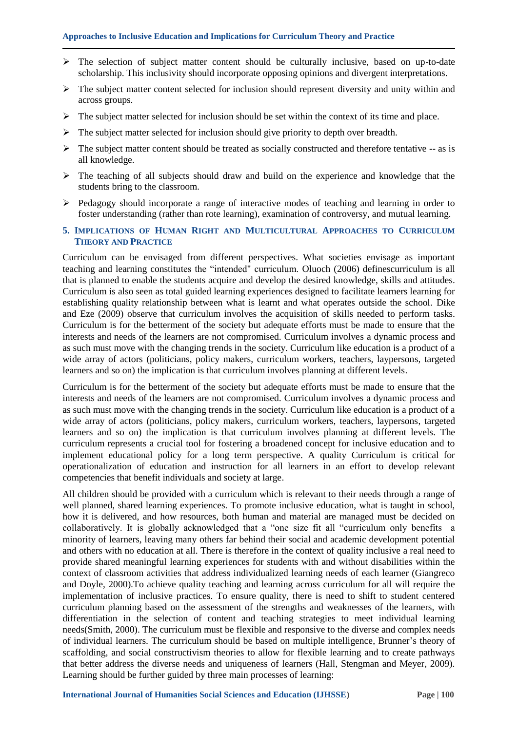- $\triangleright$  The selection of subject matter content should be culturally inclusive, based on up-to-date scholarship. This inclusivity should incorporate opposing opinions and divergent interpretations.
- $\triangleright$  The subject matter content selected for inclusion should represent diversity and unity within and across groups.
- $\triangleright$  The subject matter selected for inclusion should be set within the context of its time and place.
- $\triangleright$  The subject matter selected for inclusion should give priority to depth over breadth.
- $\triangleright$  The subject matter content should be treated as socially constructed and therefore tentative  $-$  as is all knowledge.
- $\triangleright$  The teaching of all subjects should draw and build on the experience and knowledge that the students bring to the classroom.
- Pedagogy should incorporate a range of interactive modes of teaching and learning in order to foster understanding (rather than rote learning), examination of controversy, and mutual learning.
- **5. IMPLICATIONS OF HUMAN RIGHT AND MULTICULTURAL APPROACHES TO CURRICULUM THEORY AND PRACTICE**

Curriculum can be envisaged from different perspectives. What societies envisage as important teaching and learning constitutes the "intended" curriculum. Oluoch (2006) definescurriculum is all that is planned to enable the students acquire and develop the desired knowledge, skills and attitudes. Curriculum is also seen as total guided learning experiences designed to facilitate learners learning for establishing quality relationship between what is learnt and what operates outside the school. Dike and Eze (2009) observe that curriculum involves the acquisition of skills needed to perform tasks. Curriculum is for the betterment of the society but adequate efforts must be made to ensure that the interests and needs of the learners are not compromised. Curriculum involves a dynamic process and as such must move with the changing trends in the society. Curriculum like education is a product of a wide array of actors (politicians, policy makers, curriculum workers, teachers, laypersons, targeted learners and so on) the implication is that curriculum involves planning at different levels.

Curriculum is for the betterment of the society but adequate efforts must be made to ensure that the interests and needs of the learners are not compromised. Curriculum involves a dynamic process and as such must move with the changing trends in the society. Curriculum like education is a product of a wide array of actors (politicians, policy makers, curriculum workers, teachers, laypersons, targeted learners and so on) the implication is that curriculum involves planning at different levels. The curriculum represents a crucial tool for fostering a broadened concept for inclusive education and to implement educational policy for a long term perspective. A quality Curriculum is critical for operationalization of education and instruction for all learners in an effort to develop relevant competencies that benefit individuals and society at large.

All children should be provided with a curriculum which is relevant to their needs through a range of well planned, shared learning experiences. To promote inclusive education, what is taught in school, how it is delivered, and how resources, both human and material are managed must be decided on collaboratively. It is globally acknowledged that a "one size fit all "curriculum only benefits a minority of learners, leaving many others far behind their social and academic development potential and others with no education at all. There is therefore in the context of quality inclusive a real need to provide shared meaningful learning experiences for students with and without disabilities within the context of classroom activities that address individualized learning needs of each learner (Giangreco and Doyle, 2000).To achieve quality teaching and learning across curriculum for all will require the implementation of inclusive practices. To ensure quality, there is need to shift to student centered curriculum planning based on the assessment of the strengths and weaknesses of the learners, with differentiation in the selection of content and teaching strategies to meet individual learning needs(Smith, 2000). The curriculum must be flexible and responsive to the diverse and complex needs of individual learners. The curriculum should be based on multiple intelligence, Brunner"s theory of scaffolding, and social constructivism theories to allow for flexible learning and to create pathways that better address the diverse needs and uniqueness of learners (Hall, Stengman and Meyer, 2009). Learning should be further guided by three main processes of learning: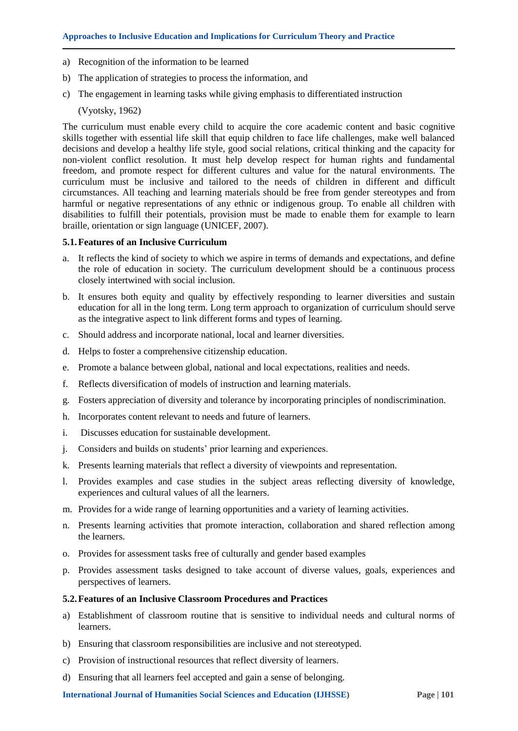- a) Recognition of the information to be learned
- b) The application of strategies to process the information, and
- c) The engagement in learning tasks while giving emphasis to differentiated instruction

(Vyotsky, 1962)

The curriculum must enable every child to acquire the core academic content and basic cognitive skills together with essential life skill that equip children to face life challenges, make well balanced decisions and develop a healthy life style, good social relations, critical thinking and the capacity for non-violent conflict resolution. It must help develop respect for human rights and fundamental freedom, and promote respect for different cultures and value for the natural environments. The curriculum must be inclusive and tailored to the needs of children in different and difficult circumstances. All teaching and learning materials should be free from gender stereotypes and from harmful or negative representations of any ethnic or indigenous group. To enable all children with disabilities to fulfill their potentials, provision must be made to enable them for example to learn braille, orientation or sign language (UNICEF, 2007).

## **5.1.Features of an Inclusive Curriculum**

- a. It reflects the kind of society to which we aspire in terms of demands and expectations, and define the role of education in society. The curriculum development should be a continuous process closely intertwined with social inclusion.
- b. It ensures both equity and quality by effectively responding to learner diversities and sustain education for all in the long term. Long term approach to organization of curriculum should serve as the integrative aspect to link different forms and types of learning.
- c. Should address and incorporate national, local and learner diversities.
- d. Helps to foster a comprehensive citizenship education.
- e. Promote a balance between global, national and local expectations, realities and needs.
- f. Reflects diversification of models of instruction and learning materials.
- g. Fosters appreciation of diversity and tolerance by incorporating principles of nondiscrimination.
- h. Incorporates content relevant to needs and future of learners.
- i. Discusses education for sustainable development.
- j. Considers and builds on students' prior learning and experiences.
- k. Presents learning materials that reflect a diversity of viewpoints and representation.
- l. Provides examples and case studies in the subject areas reflecting diversity of knowledge, experiences and cultural values of all the learners.
- m. Provides for a wide range of learning opportunities and a variety of learning activities.
- n. Presents learning activities that promote interaction, collaboration and shared reflection among the learners.
- o. Provides for assessment tasks free of culturally and gender based examples
- p. Provides assessment tasks designed to take account of diverse values, goals, experiences and perspectives of learners.

#### **5.2.Features of an Inclusive Classroom Procedures and Practices**

- a) Establishment of classroom routine that is sensitive to individual needs and cultural norms of learners.
- b) Ensuring that classroom responsibilities are inclusive and not stereotyped.
- c) Provision of instructional resources that reflect diversity of learners.
- d) Ensuring that all learners feel accepted and gain a sense of belonging.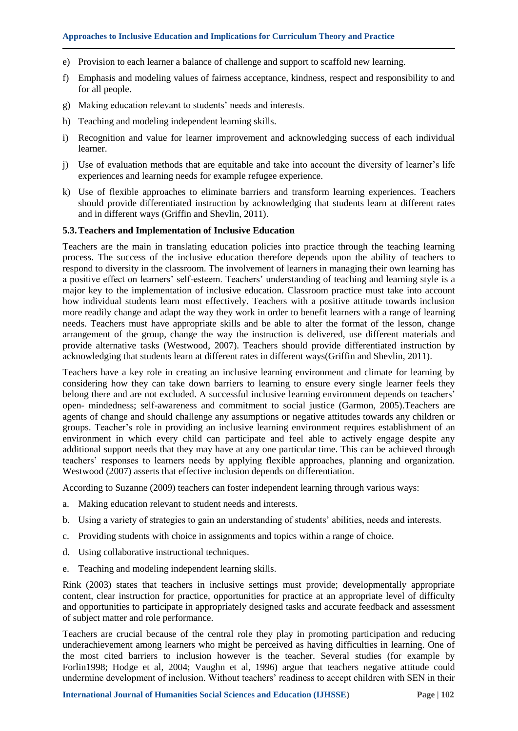- e) Provision to each learner a balance of challenge and support to scaffold new learning.
- f) Emphasis and modeling values of fairness acceptance, kindness, respect and responsibility to and for all people.
- g) Making education relevant to students" needs and interests.
- h) Teaching and modeling independent learning skills.
- i) Recognition and value for learner improvement and acknowledging success of each individual learner.
- j) Use of evaluation methods that are equitable and take into account the diversity of learner"s life experiences and learning needs for example refugee experience.
- k) Use of flexible approaches to eliminate barriers and transform learning experiences. Teachers should provide differentiated instruction by acknowledging that students learn at different rates and in different ways (Griffin and Shevlin, 2011).

#### **5.3.Teachers and Implementation of Inclusive Education**

Teachers are the main in translating education policies into practice through the teaching learning process. The success of the inclusive education therefore depends upon the ability of teachers to respond to diversity in the classroom. The involvement of learners in managing their own learning has a positive effect on learners' self-esteem. Teachers' understanding of teaching and learning style is a major key to the implementation of inclusive education. Classroom practice must take into account how individual students learn most effectively. Teachers with a positive attitude towards inclusion more readily change and adapt the way they work in order to benefit learners with a range of learning needs. Teachers must have appropriate skills and be able to alter the format of the lesson, change arrangement of the group, change the way the instruction is delivered, use different materials and provide alternative tasks (Westwood, 2007). Teachers should provide differentiated instruction by acknowledging that students learn at different rates in different ways(Griffin and Shevlin, 2011).

Teachers have a key role in creating an inclusive learning environment and climate for learning by considering how they can take down barriers to learning to ensure every single learner feels they belong there and are not excluded. A successful inclusive learning environment depends on teachers' open- mindedness; self-awareness and commitment to social justice (Garmon, 2005).Teachers are agents of change and should challenge any assumptions or negative attitudes towards any children or groups. Teacher"s role in providing an inclusive learning environment requires establishment of an environment in which every child can participate and feel able to actively engage despite any additional support needs that they may have at any one particular time. This can be achieved through teachers" responses to learners needs by applying flexible approaches, planning and organization. Westwood (2007) asserts that effective inclusion depends on differentiation.

According to Suzanne (2009) teachers can foster independent learning through various ways:

- a. Making education relevant to student needs and interests.
- b. Using a variety of strategies to gain an understanding of students' abilities, needs and interests.
- c. Providing students with choice in assignments and topics within a range of choice.
- d. Using collaborative instructional techniques.
- e. Teaching and modeling independent learning skills.

Rink (2003) states that teachers in inclusive settings must provide; developmentally appropriate content, clear instruction for practice, opportunities for practice at an appropriate level of difficulty and opportunities to participate in appropriately designed tasks and accurate feedback and assessment of subject matter and role performance.

Teachers are crucial because of the central role they play in promoting participation and reducing underachievement among learners who might be perceived as having difficulties in learning. One of the most cited barriers to inclusion however is the teacher. Several studies (for example by Forlin1998; Hodge et al, 2004; Vaughn et al, 1996) argue that teachers negative attitude could undermine development of inclusion. Without teachers" readiness to accept children with SEN in their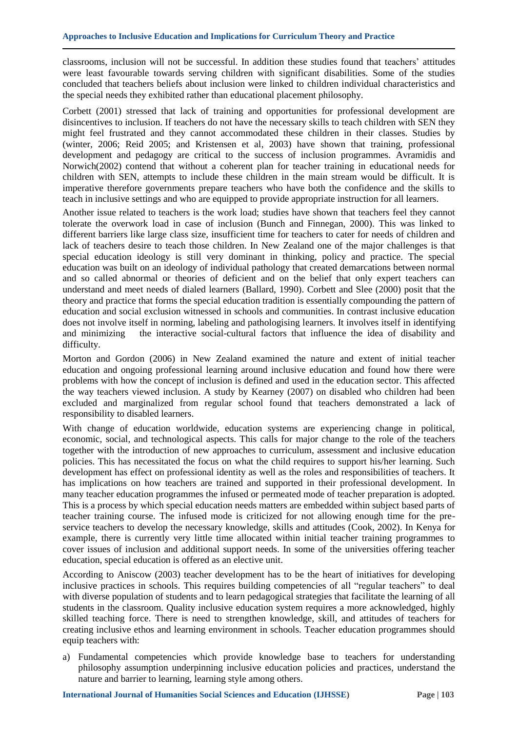classrooms, inclusion will not be successful. In addition these studies found that teachers" attitudes were least favourable towards serving children with significant disabilities. Some of the studies concluded that teachers beliefs about inclusion were linked to children individual characteristics and the special needs they exhibited rather than educational placement philosophy.

Corbett (2001) stressed that lack of training and opportunities for professional development are disincentives to inclusion. If teachers do not have the necessary skills to teach children with SEN they might feel frustrated and they cannot accommodated these children in their classes. Studies by (winter, 2006; Reid 2005; and Kristensen et al, 2003) have shown that training, professional development and pedagogy are critical to the success of inclusion programmes. Avramidis and Norwich(2002) contend that without a coherent plan for teacher training in educational needs for children with SEN, attempts to include these children in the main stream would be difficult. It is imperative therefore governments prepare teachers who have both the confidence and the skills to teach in inclusive settings and who are equipped to provide appropriate instruction for all learners.

Another issue related to teachers is the work load; studies have shown that teachers feel they cannot tolerate the overwork load in case of inclusion (Bunch and Finnegan, 2000). This was linked to different barriers like large class size, insufficient time for teachers to cater for needs of children and lack of teachers desire to teach those children. In New Zealand one of the major challenges is that special education ideology is still very dominant in thinking, policy and practice. The special education was built on an ideology of individual pathology that created demarcations between normal and so called abnormal or theories of deficient and on the belief that only expert teachers can understand and meet needs of dialed learners (Ballard, 1990). Corbett and Slee (2000) posit that the theory and practice that forms the special education tradition is essentially compounding the pattern of education and social exclusion witnessed in schools and communities. In contrast inclusive education does not involve itself in norming, labeling and pathologising learners. It involves itself in identifying and minimizing the interactive social-cultural factors that influence the idea of disability and difficulty.

Morton and Gordon (2006) in New Zealand examined the nature and extent of initial teacher education and ongoing professional learning around inclusive education and found how there were problems with how the concept of inclusion is defined and used in the education sector. This affected the way teachers viewed inclusion. A study by Kearney (2007) on disabled who children had been excluded and marginalized from regular school found that teachers demonstrated a lack of responsibility to disabled learners.

With change of education worldwide, education systems are experiencing change in political, economic, social, and technological aspects. This calls for major change to the role of the teachers together with the introduction of new approaches to curriculum, assessment and inclusive education policies. This has necessitated the focus on what the child requires to support his/her learning. Such development has effect on professional identity as well as the roles and responsibilities of teachers. It has implications on how teachers are trained and supported in their professional development. In many teacher education programmes the infused or permeated mode of teacher preparation is adopted. This is a process by which special education needs matters are embedded within subject based parts of teacher training course. The infused mode is criticized for not allowing enough time for the preservice teachers to develop the necessary knowledge, skills and attitudes (Cook, 2002). In Kenya for example, there is currently very little time allocated within initial teacher training programmes to cover issues of inclusion and additional support needs. In some of the universities offering teacher education, special education is offered as an elective unit.

According to Aniscow (2003) teacher development has to be the heart of initiatives for developing inclusive practices in schools. This requires building competencies of all "regular teachers" to deal with diverse population of students and to learn pedagogical strategies that facilitate the learning of all students in the classroom. Quality inclusive education system requires a more acknowledged, highly skilled teaching force. There is need to strengthen knowledge, skill, and attitudes of teachers for creating inclusive ethos and learning environment in schools. Teacher education programmes should equip teachers with:

a) Fundamental competencies which provide knowledge base to teachers for understanding philosophy assumption underpinning inclusive education policies and practices, understand the nature and barrier to learning, learning style among others.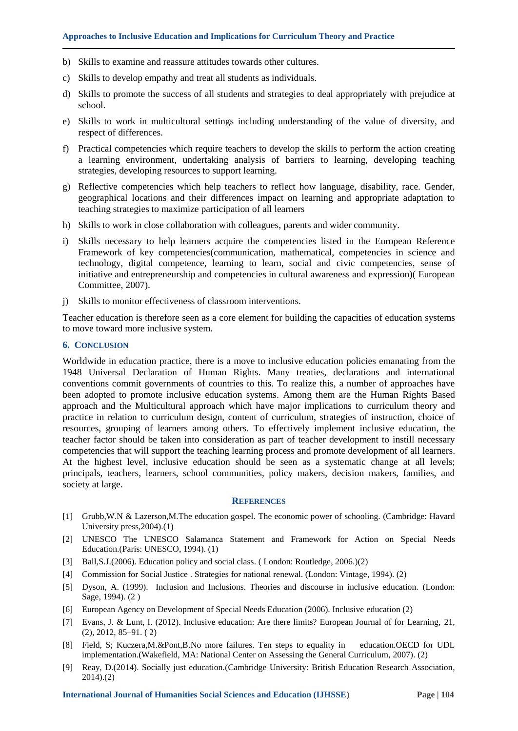- b) Skills to examine and reassure attitudes towards other cultures.
- c) Skills to develop empathy and treat all students as individuals.
- d) Skills to promote the success of all students and strategies to deal appropriately with prejudice at school.
- e) Skills to work in multicultural settings including understanding of the value of diversity, and respect of differences.
- f) Practical competencies which require teachers to develop the skills to perform the action creating a learning environment, undertaking analysis of barriers to learning, developing teaching strategies, developing resources to support learning.
- g) Reflective competencies which help teachers to reflect how language, disability, race. Gender, geographical locations and their differences impact on learning and appropriate adaptation to teaching strategies to maximize participation of all learners
- h) Skills to work in close collaboration with colleagues, parents and wider community.
- i) Skills necessary to help learners acquire the competencies listed in the European Reference Framework of key competencies(communication, mathematical, competencies in science and technology, digital competence, learning to learn, social and civic competencies, sense of initiative and entrepreneurship and competencies in cultural awareness and expression)( European Committee, 2007).
- j) Skills to monitor effectiveness of classroom interventions.

Teacher education is therefore seen as a core element for building the capacities of education systems to move toward more inclusive system.

#### **6. CONCLUSION**

Worldwide in education practice, there is a move to inclusive education policies emanating from the 1948 Universal Declaration of Human Rights. Many treaties, declarations and international conventions commit governments of countries to this. To realize this, a number of approaches have been adopted to promote inclusive education systems. Among them are the Human Rights Based approach and the Multicultural approach which have major implications to curriculum theory and practice in relation to curriculum design, content of curriculum, strategies of instruction, choice of resources, grouping of learners among others. To effectively implement inclusive education, the teacher factor should be taken into consideration as part of teacher development to instill necessary competencies that will support the teaching learning process and promote development of all learners. At the highest level, inclusive education should be seen as a systematic change at all levels; principals, teachers, learners, school communities, policy makers, decision makers, families, and society at large.

#### **REFERENCES**

- [1] Grubb,W.N & Lazerson,M.The education gospel. The economic power of schooling. (Cambridge: Havard University press,2004).(1)
- [2] UNESCO The UNESCO Salamanca Statement and Framework for Action on Special Needs Education.(Paris: UNESCO, 1994). (1)
- [3] Ball,S.J.(2006). Education policy and social class. ( London: Routledge, 2006.)(2)
- [4] Commission for Social Justice . Strategies for national renewal. (London: Vintage, 1994). (2)
- [5] Dyson, A. (1999). Inclusion and Inclusions. Theories and discourse in inclusive education. (London: Sage, 1994). (2 )
- [6] European Agency on Development of Special Needs Education (2006). Inclusive education (2)
- [7] Evans, J. & Lunt, I. (2012). Inclusive education: Are there limits? European Journal of for Learning, 21, (2), 2012, 85–91. ( 2)
- [8] Field, S; Kuczera,M.&Pont,B.No more failures. Ten steps to equality in education.OECD for UDL implementation.(Wakefield, MA: National Center on Assessing the General Curriculum, 2007). (2)
- [9] Reay, D.(2014). Socially just education.(Cambridge University: British Education Research Association, 2014).(2)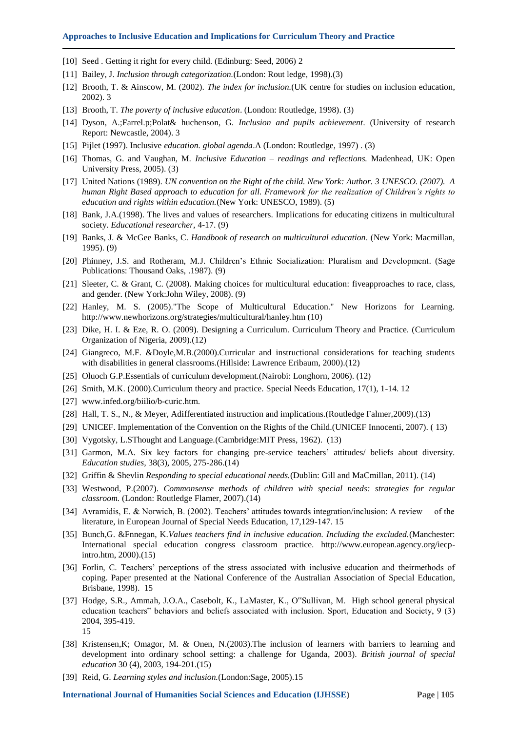#### **Approaches to Inclusive Education and Implications for Curriculum Theory and Practice**

- [10] Seed . Getting it right for every child. (Edinburg: Seed, 2006) 2
- [11] Bailey, J. *Inclusion through categorization.*(London: Rout ledge, 1998).(3)
- [12] Brooth, T. & Ainscow, M. (2002). *The index for inclusion.*(UK centre for studies on inclusion education, 2002). 3
- [13] Brooth, T. *The poverty of inclusive education*. (London: Routledge, 1998). (3)
- [14] Dyson, A.;Farrel.p;Polat& huchenson, G. *Inclusion and pupils achievement*. (University of research Report: Newcastle, 2004). 3
- [15] Pijlet (1997). Inclusive *education. global agenda*.A (London: Routledge, 1997) . (3)
- [16] Thomas, G. and Vaughan, M. *Inclusive Education – readings and reflections.* Madenhead, UK: Open University Press, 2005). (3)
- [17] United Nations (1989). *UN convention on the Right of the child. New York: Author. 3 UNESCO. (2007). A human Right Based approach to education for all. Framework for the realization of Children's rights to education and rights within education.*(New York: UNESCO, 1989). (5)
- [18] Bank, J.A.(1998). The lives and values of researchers. Implications for educating citizens in multicultural society. *Educational researcher,* 4-17. (9)
- [19] Banks, J. & McGee Banks, C. *Handbook of research on multicultural education*. (New York: Macmillan, 1995). (9)
- [20] Phinney, J.S. and Rotheram, M.J. Children"s Ethnic Socialization: Pluralism and Development. (Sage Publications: Thousand Oaks, .1987). (9)
- [21] Sleeter, C. & Grant, C. (2008). Making choices for multicultural education: fiveapproaches to race, class, and gender. (New York:John Wiley, 2008). (9)
- [22] Hanley, M. S. (2005)."The Scope of Multicultural Education." New Horizons for Learning. [http://www.newhorizons.org/strategies/multicultural/hanley.htm \(10\)](http://www.newhorizons.org/strategies/multicultural/hanley.htm%20(10)
- [23] Dike, H. I. & Eze, R. O. (2009). Designing a Curriculum. Curriculum Theory and Practice. (Curriculum Organization of Nigeria, 2009).(12)
- [24] Giangreco, M.F. &Doyle,M.B.(2000).Curricular and instructional considerations for teaching students with disabilities in general classrooms.(Hillside: Lawrence Eribaum, 2000).(12)
- [25] Oluoch G.P.Essentials of curriculum development.(Nairobi: Longhorn, 2006). (12)
- [26] Smith, M.K. (2000).Curriculum theory and practice. Special Needs Education, 17(1), 1-14. 12
- [27] [www.infed.org/biilio/b-curic.htm.](http://www.infed.org/biilio/b-curic.htm)
- [28] Hall, T. S., N., & Meyer, Adifferentiated instruction and implications.(Routledge Falmer,2009).(13)
- [29] UNICEF. Implementation of the Convention on the Rights of the Child.(UNICEF Innocenti, 2007). ( 13)
- [30] Vygotsky, L.SThought and Language.(Cambridge:MIT Press, 1962). (13)
- [31] Garmon, M.A. Six key factors for changing pre-service teachers' attitudes/ beliefs about diversity. *Education studies,* 38(3), 2005, 275-286.(14)
- [32] Griffin & Shevlin *Responding to special educational needs.*(Dublin: Gill and MaCmillan, 2011). (14)
- [33] Westwood, P.(2007). *Commonsense methods of children with special needs: strategies for regular classroom.* (London: Routledge Flamer, 2007).(14)
- [34] Avramidis, E. & Norwich, B. (2002). Teachers" attitudes towards integration/inclusion: A review of the literature, in European Journal of Special Needs Education, 17,129-147. 15
- [35] Bunch,G. &Fnnegan, K.*Values teachers find in inclusive education. Including the excluded.*(Manchester: International special education congress classroom practice. [http://www.european.agency.org/iecp](http://www.european.agency.org/iecp-intro.htm)[intro.htm,](http://www.european.agency.org/iecp-intro.htm) 2000).(15)
- [36] Forlin, C. Teachers' perceptions of the stress associated with inclusive education and theirmethods of coping. Paper presented at the National Conference of the Australian Association of Special Education, Brisbane, 1998). 15
- [37] Hodge, S.R., Ammah, J.O.A., Casebolt, K., LaMaster, K., O"Sullivan, M. High school general physical education teachers" behaviors and beliefs associated with inclusion. Sport, Education and Society, 9 (3) 2004, 395-419. 15
- [38] Kristensen,K; Omagor, M. & Onen, N.(2003).The inclusion of learners with barriers to learning and development into ordinary school setting: a challenge for Uganda, 2003). *British journal of special education* 30 (4), 2003, 194-201.(15)
- [39] Reid, G. *Learning styles and inclusion.*(London:Sage, 2005).15